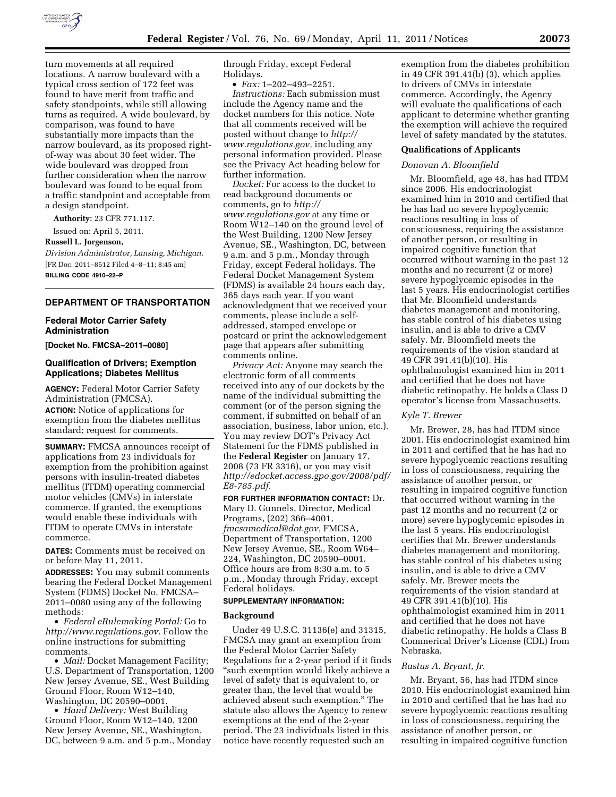

turn movements at all required locations. A narrow boulevard with a typical cross section of 172 feet was found to have merit from traffic and safety standpoints, while still allowing turns as required. A wide boulevard, by comparison, was found to have substantially more impacts than the narrow boulevard, as its proposed rightof-way was about 30 feet wider. The wide boulevard was dropped from further consideration when the narrow boulevard was found to be equal from a traffic standpoint and acceptable from a design standpoint.

**Authority:** 23 CFR 771.117.

Issued on: April 5, 2011.

**Russell L. Jorgenson,** 

*Division Administrator, Lansing, Michigan.*  [FR Doc. 2011–8512 Filed 4–8–11; 8:45 am] **BILLING CODE 4910–22–P** 

## **DEPARTMENT OF TRANSPORTATION**

# **Federal Motor Carrier Safety Administration**

**[Docket No. FMCSA–2011–0080]** 

# **Qualification of Drivers; Exemption Applications; Diabetes Mellitus**

**AGENCY:** Federal Motor Carrier Safety Administration (FMCSA). **ACTION:** Notice of applications for exemption from the diabetes mellitus standard; request for comments.

**SUMMARY:** FMCSA announces receipt of applications from 23 individuals for exemption from the prohibition against persons with insulin-treated diabetes mellitus (ITDM) operating commercial motor vehicles (CMVs) in interstate commerce. If granted, the exemptions would enable these individuals with ITDM to operate CMVs in interstate commerce.

**DATES:** Comments must be received on or before May 11, 2011.

**ADDRESSES:** You may submit comments bearing the Federal Docket Management System (FDMS) Docket No. FMCSA– 2011–0080 using any of the following methods:

• *Federal eRulemaking Portal:* Go to *[http://www.regulations.gov.](http://www.regulations.gov)* Follow the online instructions for submitting comments.

• *Mail:* Docket Management Facility; U.S. Department of Transportation, 1200 New Jersey Avenue, SE., West Building Ground Floor, Room W12–140, Washington, DC 20590–0001.

• *Hand Delivery:* West Building Ground Floor, Room W12–140, 1200 New Jersey Avenue, SE., Washington, DC, between 9 a.m. and 5 p.m., Monday through Friday, except Federal Holidays.

• *Fax:* 1–202–493–2251.

*Instructions:* Each submission must include the Agency name and the docket numbers for this notice. Note that all comments received will be posted without change to *[http://](http://www.regulations.gov) [www.regulations.gov,](http://www.regulations.gov)* including any personal information provided. Please see the Privacy Act heading below for further information.

*Docket:* For access to the docket to read background documents or comments, go to *[http://](http://www.regulations.gov) [www.regulations.gov](http://www.regulations.gov)* at any time or Room W12–140 on the ground level of the West Building, 1200 New Jersey Avenue, SE., Washington, DC, between 9 a.m. and 5 p.m., Monday through Friday, except Federal holidays. The Federal Docket Management System (FDMS) is available 24 hours each day, 365 days each year. If you want acknowledgment that we received your comments, please include a selfaddressed, stamped envelope or postcard or print the acknowledgement page that appears after submitting comments online.

*Privacy Act:* Anyone may search the electronic form of all comments received into any of our dockets by the name of the individual submitting the comment (or of the person signing the comment, if submitted on behalf of an association, business, labor union, etc.). You may review DOT's Privacy Act Statement for the FDMS published in the **Federal Register** on January 17, 2008 (73 FR 3316), or you may visit *[http://edocket.access.gpo.gov/2008/pdf/](http://edocket.access.gpo.gov/2008/pdf/E8-785.pdf) [E8-785.pdf.](http://edocket.access.gpo.gov/2008/pdf/E8-785.pdf)* 

**FOR FURTHER INFORMATION CONTACT:** Dr. Mary D. Gunnels, Director, Medical Programs, (202) 366–4001, *[fmcsamedical@dot.gov,](mailto:fmcsamedical@dot.gov)* FMCSA, Department of Transportation, 1200 New Jersey Avenue, SE., Room W64– 224, Washington, DC 20590–0001. Office hours are from 8:30 a.m. to 5 p.m., Monday through Friday, except Federal holidays.

# **SUPPLEMENTARY INFORMATION:**

#### **Background**

Under 49 U.S.C. 31136(e) and 31315, FMCSA may grant an exemption from the Federal Motor Carrier Safety Regulations for a 2-year period if it finds ''such exemption would likely achieve a level of safety that is equivalent to, or greater than, the level that would be achieved absent such exemption.'' The statute also allows the Agency to renew exemptions at the end of the 2-year period. The 23 individuals listed in this notice have recently requested such an

exemption from the diabetes prohibition in 49 CFR 391.41(b) (3), which applies to drivers of CMVs in interstate commerce. Accordingly, the Agency will evaluate the qualifications of each applicant to determine whether granting the exemption will achieve the required level of safety mandated by the statutes.

#### **Qualifications of Applicants**

### *Donovan A. Bloomfield*

Mr. Bloomfield, age 48, has had ITDM since 2006. His endocrinologist examined him in 2010 and certified that he has had no severe hypoglycemic reactions resulting in loss of consciousness, requiring the assistance of another person, or resulting in impaired cognitive function that occurred without warning in the past 12 months and no recurrent (2 or more) severe hypoglycemic episodes in the last 5 years. His endocrinologist certifies that Mr. Bloomfield understands diabetes management and monitoring, has stable control of his diabetes using insulin, and is able to drive a CMV safely. Mr. Bloomfield meets the requirements of the vision standard at 49 CFR 391.41(b)(10). His ophthalmologist examined him in 2011 and certified that he does not have diabetic retinopathy. He holds a Class D operator's license from Massachusetts.

#### *Kyle T. Brewer*

Mr. Brewer, 28, has had ITDM since 2001. His endocrinologist examined him in 2011 and certified that he has had no severe hypoglycemic reactions resulting in loss of consciousness, requiring the assistance of another person, or resulting in impaired cognitive function that occurred without warning in the past 12 months and no recurrent (2 or more) severe hypoglycemic episodes in the last 5 years. His endocrinologist certifies that Mr. Brewer understands diabetes management and monitoring, has stable control of his diabetes using insulin, and is able to drive a CMV safely. Mr. Brewer meets the requirements of the vision standard at 49 CFR 391.41(b)(10). His ophthalmologist examined him in 2011 and certified that he does not have diabetic retinopathy. He holds a Class B Commerical Driver's License (CDL) from Nebraska.

### *Rastus A. Bryant, Jr.*

Mr. Bryant, 56, has had ITDM since 2010. His endocrinologist examined him in 2010 and certified that he has had no severe hypoglycemic reactions resulting in loss of consciousness, requiring the assistance of another person, or resulting in impaired cognitive function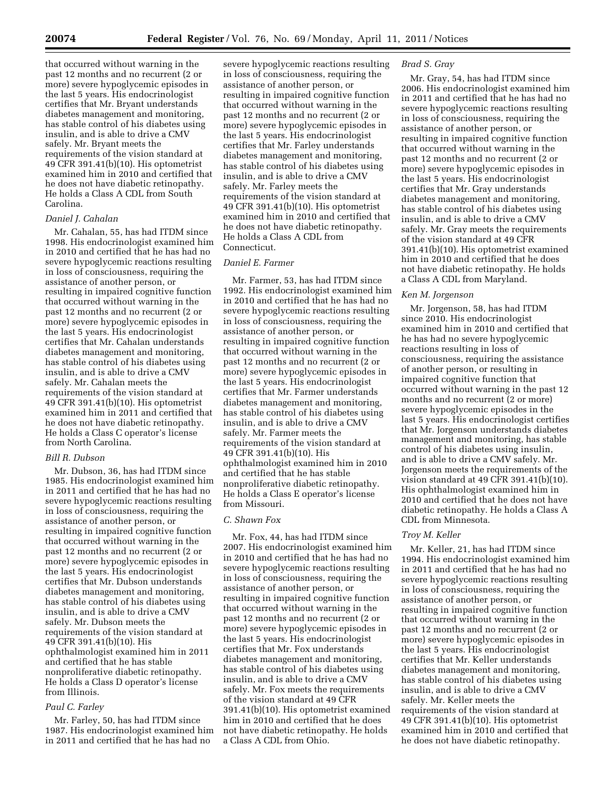that occurred without warning in the past 12 months and no recurrent (2 or more) severe hypoglycemic episodes in the last 5 years. His endocrinologist certifies that Mr. Bryant understands diabetes management and monitoring, has stable control of his diabetes using insulin, and is able to drive a CMV safely. Mr. Bryant meets the requirements of the vision standard at 49 CFR 391.41(b)(10). His optometrist examined him in 2010 and certified that he does not have diabetic retinopathy. He holds a Class A CDL from South Carolina.

# *Daniel J. Cahalan*

Mr. Cahalan, 55, has had ITDM since 1998. His endocrinologist examined him in 2010 and certified that he has had no severe hypoglycemic reactions resulting in loss of consciousness, requiring the assistance of another person, or resulting in impaired cognitive function that occurred without warning in the past 12 months and no recurrent (2 or more) severe hypoglycemic episodes in the last 5 years. His endocrinologist certifies that Mr. Cahalan understands diabetes management and monitoring, has stable control of his diabetes using insulin, and is able to drive a CMV safely. Mr. Cahalan meets the requirements of the vision standard at 49 CFR 391.41(b)(10). His optometrist examined him in 2011 and certified that he does not have diabetic retinopathy. He holds a Class C operator's license from North Carolina.

## *Bill R. Dubson*

Mr. Dubson, 36, has had ITDM since 1985. His endocrinologist examined him in 2011 and certified that he has had no severe hypoglycemic reactions resulting in loss of consciousness, requiring the assistance of another person, or resulting in impaired cognitive function that occurred without warning in the past 12 months and no recurrent (2 or more) severe hypoglycemic episodes in the last 5 years. His endocrinologist certifies that Mr. Dubson understands diabetes management and monitoring, has stable control of his diabetes using insulin, and is able to drive a CMV safely. Mr. Dubson meets the requirements of the vision standard at 49 CFR 391.41(b)(10). His ophthalmologist examined him in 2011 and certified that he has stable nonproliferative diabetic retinopathy. He holds a Class D operator's license from Illinois.

# *Paul C. Farley*

Mr. Farley, 50, has had ITDM since 1987. His endocrinologist examined him in 2011 and certified that he has had no

severe hypoglycemic reactions resulting in loss of consciousness, requiring the assistance of another person, or resulting in impaired cognitive function that occurred without warning in the past 12 months and no recurrent (2 or more) severe hypoglycemic episodes in the last 5 years. His endocrinologist certifies that Mr. Farley understands diabetes management and monitoring, has stable control of his diabetes using insulin, and is able to drive a CMV safely. Mr. Farley meets the requirements of the vision standard at 49 CFR 391.41(b)(10). His optometrist examined him in 2010 and certified that he does not have diabetic retinopathy. He holds a Class A CDL from Connecticut.

#### *Daniel E. Farmer*

Mr. Farmer, 53, has had ITDM since 1992. His endocrinologist examined him in 2010 and certified that he has had no severe hypoglycemic reactions resulting in loss of consciousness, requiring the assistance of another person, or resulting in impaired cognitive function that occurred without warning in the past 12 months and no recurrent (2 or more) severe hypoglycemic episodes in the last 5 years. His endocrinologist certifies that Mr. Farmer understands diabetes management and monitoring, has stable control of his diabetes using insulin, and is able to drive a CMV safely. Mr. Farmer meets the requirements of the vision standard at 49 CFR 391.41(b)(10). His ophthalmologist examined him in 2010 and certified that he has stable nonproliferative diabetic retinopathy. He holds a Class E operator's license from Missouri.

#### *C. Shawn Fox*

Mr. Fox, 44, has had ITDM since 2007. His endocrinologist examined him in 2010 and certified that he has had no severe hypoglycemic reactions resulting in loss of consciousness, requiring the assistance of another person, or resulting in impaired cognitive function that occurred without warning in the past 12 months and no recurrent (2 or more) severe hypoglycemic episodes in the last 5 years. His endocrinologist certifies that Mr. Fox understands diabetes management and monitoring, has stable control of his diabetes using insulin, and is able to drive a CMV safely. Mr. Fox meets the requirements of the vision standard at 49 CFR 391.41(b)(10). His optometrist examined him in 2010 and certified that he does not have diabetic retinopathy. He holds a Class A CDL from Ohio.

## *Brad S. Gray*

Mr. Gray, 54, has had ITDM since 2006. His endocrinologist examined him in 2011 and certified that he has had no severe hypoglycemic reactions resulting in loss of consciousness, requiring the assistance of another person, or resulting in impaired cognitive function that occurred without warning in the past 12 months and no recurrent (2 or more) severe hypoglycemic episodes in the last 5 years. His endocrinologist certifies that Mr. Gray understands diabetes management and monitoring, has stable control of his diabetes using insulin, and is able to drive a CMV safely. Mr. Gray meets the requirements of the vision standard at 49 CFR 391.41(b)(10). His optometrist examined him in 2010 and certified that he does not have diabetic retinopathy. He holds a Class A CDL from Maryland.

## *Ken M. Jorgenson*

Mr. Jorgenson, 58, has had ITDM since 2010. His endocrinologist examined him in 2010 and certified that he has had no severe hypoglycemic reactions resulting in loss of consciousness, requiring the assistance of another person, or resulting in impaired cognitive function that occurred without warning in the past 12 months and no recurrent (2 or more) severe hypoglycemic episodes in the last 5 years. His endocrinologist certifies that Mr. Jorgenson understands diabetes management and monitoring, has stable control of his diabetes using insulin, and is able to drive a CMV safely. Mr. Jorgenson meets the requirements of the vision standard at 49 CFR 391.41(b)(10). His ophthalmologist examined him in 2010 and certified that he does not have diabetic retinopathy. He holds a Class A CDL from Minnesota.

## *Troy M. Keller*

Mr. Keller, 21, has had ITDM since 1994. His endocrinologist examined him in 2011 and certified that he has had no severe hypoglycemic reactions resulting in loss of consciousness, requiring the assistance of another person, or resulting in impaired cognitive function that occurred without warning in the past 12 months and no recurrent (2 or more) severe hypoglycemic episodes in the last 5 years. His endocrinologist certifies that Mr. Keller understands diabetes management and monitoring, has stable control of his diabetes using insulin, and is able to drive a CMV safely. Mr. Keller meets the requirements of the vision standard at 49 CFR 391.41(b)(10). His optometrist examined him in 2010 and certified that he does not have diabetic retinopathy.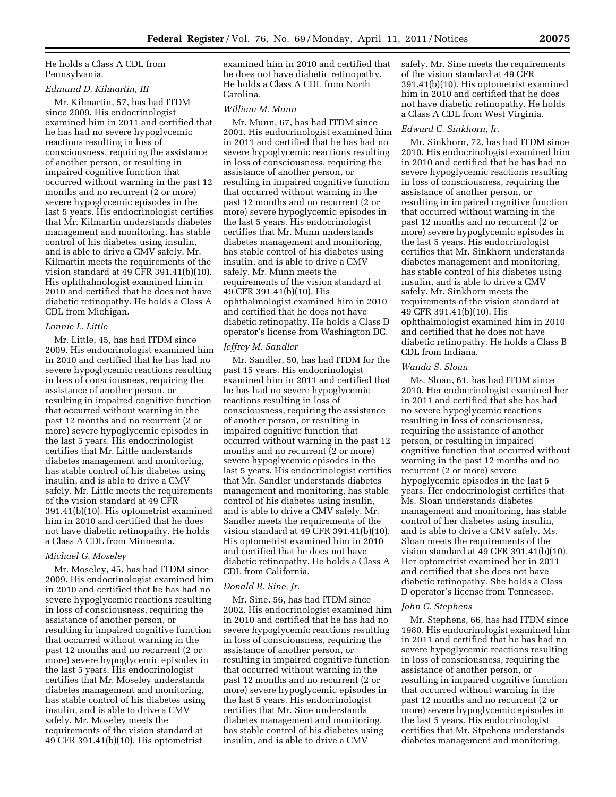He holds a Class A CDL from Pennsylvania.

# *Edmund D. Kilmartin, III*

Mr. Kilmartin, 57, has had ITDM since 2009. His endocrinologist examined him in 2011 and certified that he has had no severe hypoglycemic reactions resulting in loss of consciousness, requiring the assistance of another person, or resulting in impaired cognitive function that occurred without warning in the past 12 months and no recurrent (2 or more) severe hypoglycemic episodes in the last 5 years. His endocrinologist certifies that Mr. Kilmartin understands diabetes management and monitoring, has stable control of his diabetes using insulin, and is able to drive a CMV safely. Mr. Kilmartin meets the requirements of the vision standard at 49 CFR 391.41(b)(10). His ophthalmologist examined him in 2010 and certified that he does not have diabetic retinopathy. He holds a Class A CDL from Michigan.

### *Lonnie L. Little*

Mr. Little, 45, has had ITDM since 2009. His endocrinologist examined him in 2010 and certified that he has had no severe hypoglycemic reactions resulting in loss of consciousness, requiring the assistance of another person, or resulting in impaired cognitive function that occurred without warning in the past 12 months and no recurrent (2 or more) severe hypoglycemic episodes in the last 5 years. His endocrinologist certifies that Mr. Little understands diabetes management and monitoring, has stable control of his diabetes using insulin, and is able to drive a CMV safely. Mr. Little meets the requirements of the vision standard at 49 CFR 391.41(b)(10). His optometrist examined him in 2010 and certified that he does not have diabetic retinopathy. He holds a Class A CDL from Minnesota.

#### *Michael G. Moseley*

Mr. Moseley, 45, has had ITDM since 2009. His endocrinologist examined him in 2010 and certified that he has had no severe hypoglycemic reactions resulting in loss of consciousness, requiring the assistance of another person, or resulting in impaired cognitive function that occurred without warning in the past 12 months and no recurrent (2 or more) severe hypoglycemic episodes in the last 5 years. His endocrinologist certifies that Mr. Moseley understands diabetes management and monitoring, has stable control of his diabetes using insulin, and is able to drive a CMV safely. Mr. Moseley meets the requirements of the vision standard at 49 CFR 391.41(b)(10). His optometrist

examined him in 2010 and certified that he does not have diabetic retinopathy. He holds a Class A CDL from North Carolina.

# *William M. Munn*

Mr. Munn, 67, has had ITDM since 2001. His endocrinologist examined him in 2011 and certified that he has had no severe hypoglycemic reactions resulting in loss of consciousness, requiring the assistance of another person, or resulting in impaired cognitive function that occurred without warning in the past 12 months and no recurrent (2 or more) severe hypoglycemic episodes in the last 5 years. His endocrinologist certifies that Mr. Munn understands diabetes management and monitoring, has stable control of his diabetes using insulin, and is able to drive a CMV safely. Mr. Munn meets the requirements of the vision standard at 49 CFR 391.41(b)(10). His ophthalmologist examined him in 2010 and certified that he does not have diabetic retinopathy. He holds a Class D operator's license from Washington DC.

## *Jeffrey M. Sandler*

Mr. Sandler, 50, has had ITDM for the past 15 years. His endocrinologist examined him in 2011 and certified that he has had no severe hypoglycemic reactions resulting in loss of consciousness, requiring the assistance of another person, or resulting in impaired cognitive function that occurred without warning in the past 12 months and no recurrent (2 or more) severe hypoglycemic episodes in the last 5 years. His endocrinologist certifies that Mr. Sandler understands diabetes management and monitoring, has stable control of his diabetes using insulin, and is able to drive a CMV safely. Mr. Sandler meets the requirements of the vision standard at 49 CFR 391.41(b)(10). His optometrist examined him in 2010 and certified that he does not have diabetic retinopathy. He holds a Class A CDL from California.

## *Donald R. Sine, Jr.*

Mr. Sine, 56, has had ITDM since 2002. His endocrinologist examined him in 2010 and certified that he has had no severe hypoglycemic reactions resulting in loss of consciousness, requiring the assistance of another person, or resulting in impaired cognitive function that occurred without warning in the past 12 months and no recurrent (2 or more) severe hypoglycemic episodes in the last 5 years. His endocrinologist certifies that Mr. Sine understands diabetes management and monitoring, has stable control of his diabetes using insulin, and is able to drive a CMV

safely. Mr. Sine meets the requirements of the vision standard at 49 CFR 391.41(b)(10). His optometrist examined him in 2010 and certified that he does not have diabetic retinopathy. He holds a Class A CDL from West Virginia.

#### *Edward C. Sinkhorn, Jr.*

Mr. Sinkhorn, 72, has had ITDM since 2010. His endocrinologist examined him in 2010 and certified that he has had no severe hypoglycemic reactions resulting in loss of consciousness, requiring the assistance of another person, or resulting in impaired cognitive function that occurred without warning in the past 12 months and no recurrent (2 or more) severe hypoglycemic episodes in the last 5 years. His endocrinologist certifies that Mr. Sinkhorn understands diabetes management and monitoring, has stable control of his diabetes using insulin, and is able to drive a CMV safely. Mr. Sinkhorn meets the requirements of the vision standard at 49 CFR 391.41(b)(10). His ophthalmologist examined him in 2010 and certified that he does not have diabetic retinopathy. He holds a Class B CDL from Indiana.

## *Wanda S. Sloan*

Ms. Sloan, 61, has had ITDM since 2010. Her endocrinologist examined her in 2011 and certified that she has had no severe hypoglycemic reactions resulting in loss of consciousness, requiring the assistance of another person, or resulting in impaired cognitive function that occurred without warning in the past 12 months and no recurrent (2 or more) severe hypoglycemic episodes in the last 5 years. Her endocrinologist certifies that Ms. Sloan understands diabetes management and monitoring, has stable control of her diabetes using insulin, and is able to drive a CMV safely. Ms. Sloan meets the requirements of the vision standard at 49 CFR 391.41(b)(10). Her optometrist examined her in 2011 and certified that she does not have diabetic retinopathy. She holds a Class D operator's license from Tennessee.

#### *John C. Stephens*

Mr. Stephens, 66, has had ITDM since 1980. His endocrinologist examined him in 2011 and certified that he has had no severe hypoglycemic reactions resulting in loss of consciousness, requiring the assistance of another person, or resulting in impaired cognitive function that occurred without warning in the past 12 months and no recurrent (2 or more) severe hypoglycemic episodes in the last 5 years. His endocrinologist certifies that Mr. Stpehens understands diabetes management and monitoring,